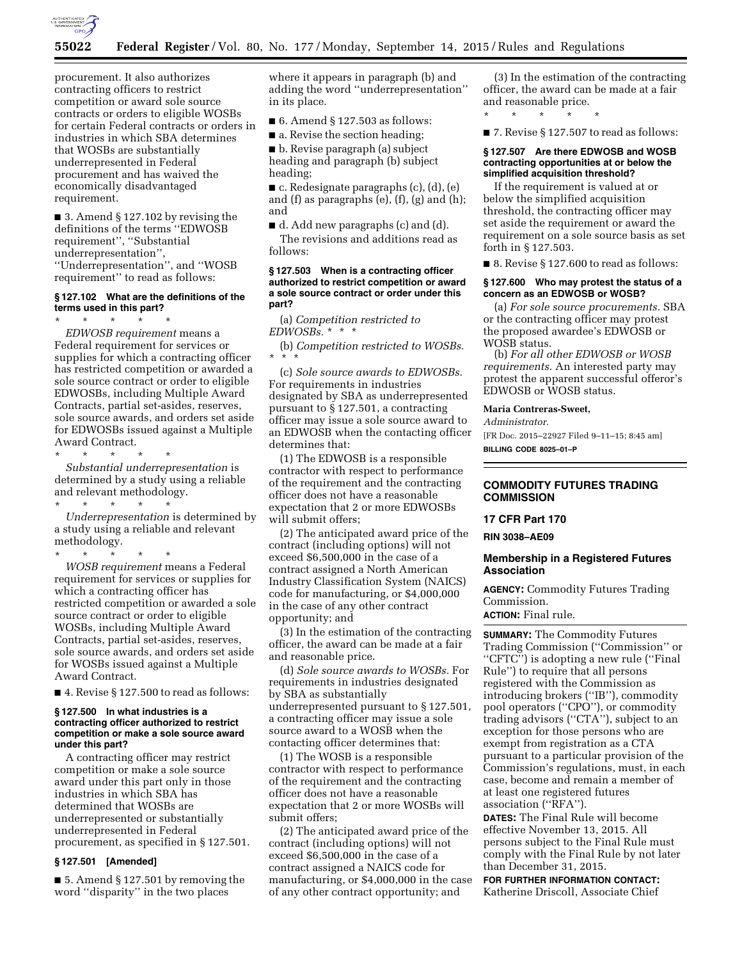

procurement. It also authorizes contracting officers to restrict competition or award sole source contracts or orders to eligible WOSBs for certain Federal contracts or orders in industries in which SBA determines that WOSBs are substantially underrepresented in Federal procurement and has waived the economically disadvantaged requirement.

■ 3. Amend § 127.102 by revising the definitions of the terms ''EDWOSB requirement'', ''Substantial underrepresentation'', ''Underrepresentation'', and ''WOSB requirement'' to read as follows:

# **§ 127.102 What are the definitions of the terms used in this part?**

\* \* \* \* \* *EDWOSB requirement* means a Federal requirement for services or supplies for which a contracting officer has restricted competition or awarded a sole source contract or order to eligible EDWOSBs, including Multiple Award Contracts, partial set-asides, reserves, sole source awards, and orders set aside for EDWOSBs issued against a Multiple Award Contract.

\* \* \* \* \* *Substantial underrepresentation* is determined by a study using a reliable and relevant methodology.

\* \* \* \* \* *Underrepresentation* is determined by a study using a reliable and relevant methodology.

\* \* \* \* \* *WOSB requirement* means a Federal requirement for services or supplies for which a contracting officer has restricted competition or awarded a sole source contract or order to eligible WOSBs, including Multiple Award Contracts, partial set-asides, reserves, sole source awards, and orders set aside for WOSBs issued against a Multiple Award Contract.

■ 4. Revise § 127.500 to read as follows:

## **§ 127.500 In what industries is a contracting officer authorized to restrict competition or make a sole source award under this part?**

A contracting officer may restrict competition or make a sole source award under this part only in those industries in which SBA has determined that WOSBs are underrepresented or substantially underrepresented in Federal procurement, as specified in § 127.501.

## **§ 127.501 [Amended]**

■ 5. Amend § 127.501 by removing the word ''disparity'' in the two places

where it appears in paragraph (b) and adding the word ''underrepresentation'' in its place.

■ 6. Amend § 127.503 as follows:

■ a. Revise the section heading;

■ b. Revise paragraph (a) subject heading and paragraph (b) subject heading;

■ c. Redesignate paragraphs (c), (d), (e) and (f) as paragraphs (e), (f), (g) and (h); and

■ d. Add new paragraphs (c) and (d). The revisions and additions read as follows:

## **§ 127.503 When is a contracting officer authorized to restrict competition or award a sole source contract or order under this part?**

(a) *Competition restricted to EDWOSBs.* \* \* \*

(b) *Competition restricted to WOSBs.*  \* \* \*

(c) *Sole source awards to EDWOSBs.*  For requirements in industries designated by SBA as underrepresented pursuant to § 127.501, a contracting officer may issue a sole source award to an EDWOSB when the contacting officer determines that:

(1) The EDWOSB is a responsible contractor with respect to performance of the requirement and the contracting officer does not have a reasonable expectation that 2 or more EDWOSBs will submit offers;

(2) The anticipated award price of the contract (including options) will not exceed \$6,500,000 in the case of a contract assigned a North American Industry Classification System (NAICS) code for manufacturing, or \$4,000,000 in the case of any other contract opportunity; and

(3) In the estimation of the contracting officer, the award can be made at a fair and reasonable price.

(d) *Sole source awards to WOSBs.* For requirements in industries designated by SBA as substantially underrepresented pursuant to § 127.501, a contracting officer may issue a sole source award to a WOSB when the contacting officer determines that:

(1) The WOSB is a responsible contractor with respect to performance of the requirement and the contracting officer does not have a reasonable expectation that 2 or more WOSBs will submit offers;

(2) The anticipated award price of the contract (including options) will not exceed \$6,500,000 in the case of a contract assigned a NAICS code for manufacturing, or \$4,000,000 in the case of any other contract opportunity; and

(3) In the estimation of the contracting officer, the award can be made at a fair and reasonable price.

\* \* \* \* \*

■ 7. Revise § 127.507 to read as follows:

# **§ 127.507 Are there EDWOSB and WOSB contracting opportunities at or below the simplified acquisition threshold?**

If the requirement is valued at or below the simplified acquisition threshold, the contracting officer may set aside the requirement or award the requirement on a sole source basis as set forth in § 127.503.

■ 8. Revise § 127.600 to read as follows:

# **§ 127.600 Who may protest the status of a concern as an EDWOSB or WOSB?**

(a) *For sole source procurements.* SBA or the contracting officer may protest the proposed awardee's EDWOSB or WOSB status.

(b) *For all other EDWOSB or WOSB requirements.* An interested party may protest the apparent successful offeror's EDWOSB or WOSB status.

### **Maria Contreras-Sweet,**

#### *Administrator.*

[FR Doc. 2015–22927 Filed 9–11–15; 8:45 am] **BILLING CODE 8025–01–P** 

# **COMMODITY FUTURES TRADING COMMISSION**

#### **17 CFR Part 170**

**RIN 3038–AE09** 

# **Membership in a Registered Futures Association**

**AGENCY:** Commodity Futures Trading Commission.

**ACTION:** Final rule.

**SUMMARY:** The Commodity Futures Trading Commission (''Commission'' or ''CFTC'') is adopting a new rule (''Final Rule'') to require that all persons registered with the Commission as introducing brokers (''IB''), commodity pool operators (''CPO''), or commodity trading advisors (''CTA''), subject to an exception for those persons who are exempt from registration as a CTA pursuant to a particular provision of the Commission's regulations, must, in each case, become and remain a member of at least one registered futures association (''RFA'').

**DATES:** The Final Rule will become effective November 13, 2015. All persons subject to the Final Rule must comply with the Final Rule by not later than December 31, 2015.

**FOR FURTHER INFORMATION CONTACT:**  Katherine Driscoll, Associate Chief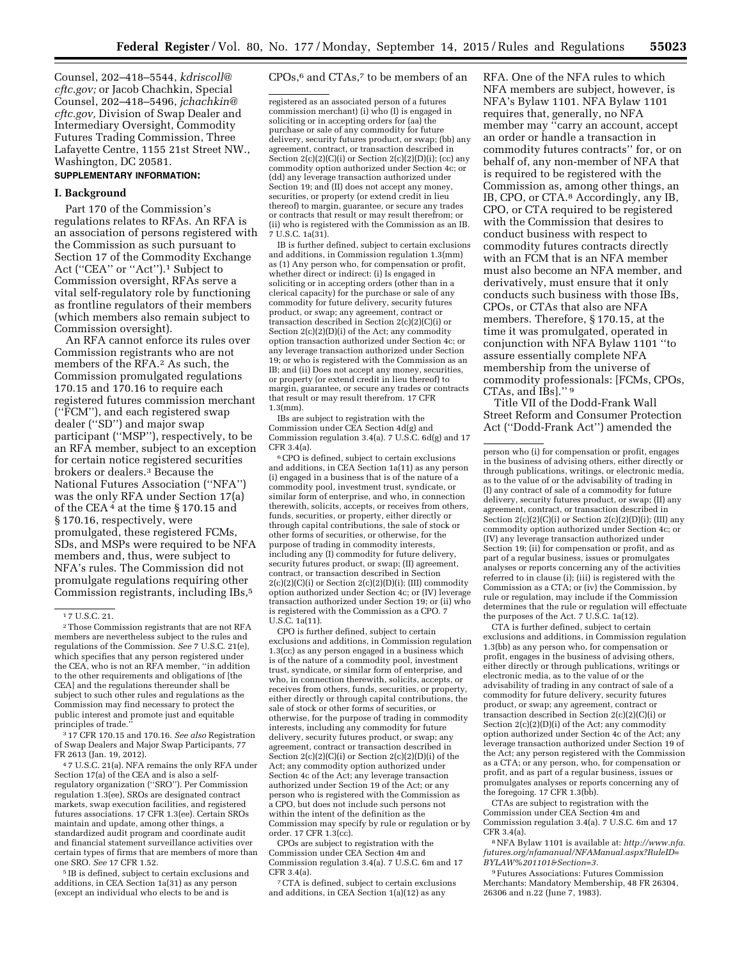Counsel, 202–418–5544, *[kdriscoll@](mailto:kdriscoll@cftc.gov) [cftc.gov;](mailto:kdriscoll@cftc.gov)* or Jacob Chachkin, Special Counsel, 202–418–5496, *[jchachkin@](mailto:jchachkin@cftc.gov) [cftc.gov,](mailto:jchachkin@cftc.gov)* Division of Swap Dealer and Intermediary Oversight, Commodity Futures Trading Commission, Three Lafayette Centre, 1155 21st Street NW., Washington, DC 20581.

## **SUPPLEMENTARY INFORMATION:**

# **I. Background**

Part 170 of the Commission's regulations relates to RFAs. An RFA is an association of persons registered with the Commission as such pursuant to Section 17 of the Commodity Exchange Act (''CEA'' or ''Act'').1 Subject to Commission oversight, RFAs serve a vital self-regulatory role by functioning as frontline regulators of their members (which members also remain subject to Commission oversight).

An RFA cannot enforce its rules over Commission registrants who are not members of the RFA.<sup>2</sup> As such, the Commission promulgated regulations 170.15 and 170.16 to require each registered futures commission merchant (''FCM''), and each registered swap dealer (''SD'') and major swap participant (''MSP''), respectively, to be an RFA member, subject to an exception for certain notice registered securities brokers or dealers.<sup>3</sup> Because the National Futures Association (''NFA'') was the only RFA under Section 17(a) of the CEA 4 at the time § 170.15 and § 170.16, respectively, were promulgated, these registered FCMs, SDs, and MSPs were required to be NFA members and, thus, were subject to NFA's rules. The Commission did not promulgate regulations requiring other Commission registrants, including IBs,5

2Those Commission registrants that are not RFA members are nevertheless subject to the rules and regulations of the Commission. *See* 7 U.S.C. 21(e), which specifies that any person registered under the CEA, who is not an RFA member, ''in addition to the other requirements and obligations of [the CEA] and the regulations thereunder shall be subject to such other rules and regulations as the Commission may find necessary to protect the public interest and promote just and equitable principles of trade.

3 17 CFR 170.15 and 170.16. *See also* Registration of Swap Dealers and Major Swap Participants, 77 FR 2613 (Jan. 19, 2012).

4 7 U.S.C. 21(a). NFA remains the only RFA under Section 17(a) of the CEA and is also a selfregulatory organization (''SRO''). Per Commission regulation 1.3(ee), SROs are designated contract markets, swap execution facilities, and registered futures associations. 17 CFR 1.3(ee). Certain SROs maintain and update, among other things, a standardized audit program and coordinate audit and financial statement surveillance activities over certain types of firms that are members of more than one SRO. *See* 17 CFR 1.52.

5 IB is defined, subject to certain exclusions and additions, in CEA Section 1a(31) as any person (except an individual who elects to be and is

 $CPOs<sup>6</sup>$  and  $CTAs<sup>7</sup>$  to be members of an  $RFA$ . One of the NFA rules to which

registered as an associated person of a futures commission merchant) (i) who (I) is engaged in soliciting or in accepting orders for (aa) the purchase or sale of any commodity for future delivery, security futures product, or swap; (bb) any agreement, contract, or transaction described in Section  $2(c)(2)(C)(i)$  or Section  $2(c)(2)(D)(i)$ ; (cc) any commodity option authorized under Section 4c; or (dd) any leverage transaction authorized under Section 19; and (II) does not accept any money, securities, or property (or extend credit in lieu thereof) to margin, guarantee, or secure any trades or contracts that result or may result therefrom; or (ii) who is registered with the Commission as an IB. 7 U.S.C. 1a(31).

IB is further defined, subject to certain exclusions and additions, in Commission regulation 1.3(mm) as (1) Any person who, for compensation or profit, whether direct or indirect: (i) Is engaged in soliciting or in accepting orders (other than in a clerical capacity) for the purchase or sale of any commodity for future delivery, security futures product, or swap; any agreement, contract or transaction described in Section 2(c)(2)(C)(i) or Section 2(c)(2)(D)(i) of the Act; any commodity option transaction authorized under Section 4c; or any leverage transaction authorized under Section 19; or who is registered with the Commission as an IB; and (ii) Does not accept any money, securities, or property (or extend credit in lieu thereof) to margin, guarantee, or secure any trades or contracts that result or may result therefrom. 17 CFR 1.3(mm).

IBs are subject to registration with the Commission under CEA Section 4d(g) and Commission regulation 3.4(a). 7 U.S.C. 6d(g) and 17 CFR 3.4(a).

6CPO is defined, subject to certain exclusions and additions, in CEA Section 1a(11) as any person (i) engaged in a business that is of the nature of a commodity pool, investment trust, syndicate, or similar form of enterprise, and who, in connection therewith, solicits, accepts, or receives from others, funds, securities, or property, either directly or through capital contributions, the sale of stock or other forms of securities, or otherwise, for the purpose of trading in commodity interests, including any (I) commodity for future delivery, security futures product, or swap; (II) agreement, contract, or transaction described in Section  $2(c)(2)(C)(i)$  or Section  $2(c)(2)(D)(i)$ ; (III) commodity option authorized under Section 4c; or (IV) leverage transaction authorized under Section 19; or (ii) who is registered with the Commission as a CPO. 7 U.S.C. 1a(11).

CPO is further defined, subject to certain exclusions and additions, in Commission regulation 1.3(cc) as any person engaged in a business which is of the nature of a commodity pool, investment trust, syndicate, or similar form of enterprise, and who, in connection therewith, solicits, accepts, or receives from others, funds, securities, or property, either directly or through capital contributions, the sale of stock or other forms of securities, or otherwise, for the purpose of trading in commodity interests, including any commodity for future delivery, security futures product, or swap; any agreement, contract or transaction described in Section  $2(c)(2)(C)(i)$  or Section  $2(c)(2)(D)(i)$  of the Act; any commodity option authorized under Section 4c of the Act; any leverage transaction authorized under Section 19 of the Act; or any person who is registered with the Commission as a CPO, but does not include such persons not within the intent of the definition as the Commission may specify by rule or regulation or by order. 17 CFR 1.3(cc).

CPOs are subject to registration with the Commission under CEA Section 4m and Commission regulation 3.4(a). 7 U.S.C. 6m and 17

<sup>7</sup> CTA is defined, subject to certain exclusions and additions, in CEA Section 1(a)(12) as any

NFA members are subject, however, is NFA's Bylaw 1101. NFA Bylaw 1101 requires that, generally, no NFA member may ''carry an account, accept an order or handle a transaction in commodity futures contracts'' for, or on behalf of, any non-member of NFA that is required to be registered with the Commission as, among other things, an IB, CPO, or CTA.8 Accordingly, any IB, CPO, or CTA required to be registered with the Commission that desires to conduct business with respect to commodity futures contracts directly with an FCM that is an NFA member must also become an NFA member, and derivatively, must ensure that it only conducts such business with those IBs, CPOs, or CTAs that also are NFA members. Therefore, § 170.15, at the time it was promulgated, operated in conjunction with NFA Bylaw 1101 ''to assure essentially complete NFA membership from the universe of commodity professionals: [FCMs, CPOs, CTAs, and IBs].'' 9

Title VII of the Dodd-Frank Wall Street Reform and Consumer Protection Act (''Dodd-Frank Act'') amended the

CTA is further defined, subject to certain exclusions and additions, in Commission regulation 1.3(bb) as any person who, for compensation or profit, engages in the business of advising others, either directly or through publications, writings or electronic media, as to the value of or the advisability of trading in any contract of sale of a commodity for future delivery, security futures product, or swap; any agreement, contract or transaction described in Section 2(c)(2)(C)(i) or Section 2(c)(2)(D)(i) of the Act; any commodity option authorized under Section 4c of the Act; any leverage transaction authorized under Section 19 of the Act; any person registered with the Commission as a CTA; or any person, who, for compensation or profit, and as part of a regular business, issues or promulgates analyses or reports concerning any of the foregoing. 17 CFR 1.3(bb).

CTAs are subject to registration with the Commission under CEA Section 4m and Commission regulation 3.4(a). 7 U.S.C. 6m and 17 CFR 3.4(a).

8NFA Bylaw 1101 is available at: *[http://www.nfa.](http://www.nfa.futures.org/nfamanual/NFAManual.aspx?RuleID=BYLAW%201101&Section=3) [futures.org/nfamanual/NFAManual.aspx?RuleID=](http://www.nfa.futures.org/nfamanual/NFAManual.aspx?RuleID=BYLAW%201101&Section=3) [BYLAW%201101&Section=3.](http://www.nfa.futures.org/nfamanual/NFAManual.aspx?RuleID=BYLAW%201101&Section=3)* 

9Futures Associations: Futures Commission Merchants: Mandatory Membership, 48 FR 26304, 26306 and n.22 (June 7, 1983).

<sup>1</sup> 7 U.S.C. 21.

person who (i) for compensation or profit, engages in the business of advising others, either directly or through publications, writings, or electronic media, as to the value of or the advisability of trading in (I) any contract of sale of a commodity for future delivery, security futures product, or swap; (II) any agreement, contract, or transaction described in Section  $2(c)(2)(C)(i)$  or Section  $2(c)(2)(D)(i)$ ; (III) any commodity option authorized under Section 4c; or (IV) any leverage transaction authorized under Section 19; (ii) for compensation or profit, and as part of a regular business, issues or promulgates analyses or reports concerning any of the activities referred to in clause (i); (iii) is registered with the Commission as a CTA; or (iv) the Commission, by rule or regulation, may include if the Commission determines that the rule or regulation will effectuate the purposes of the Act. 7 U.S.C. 1a(12).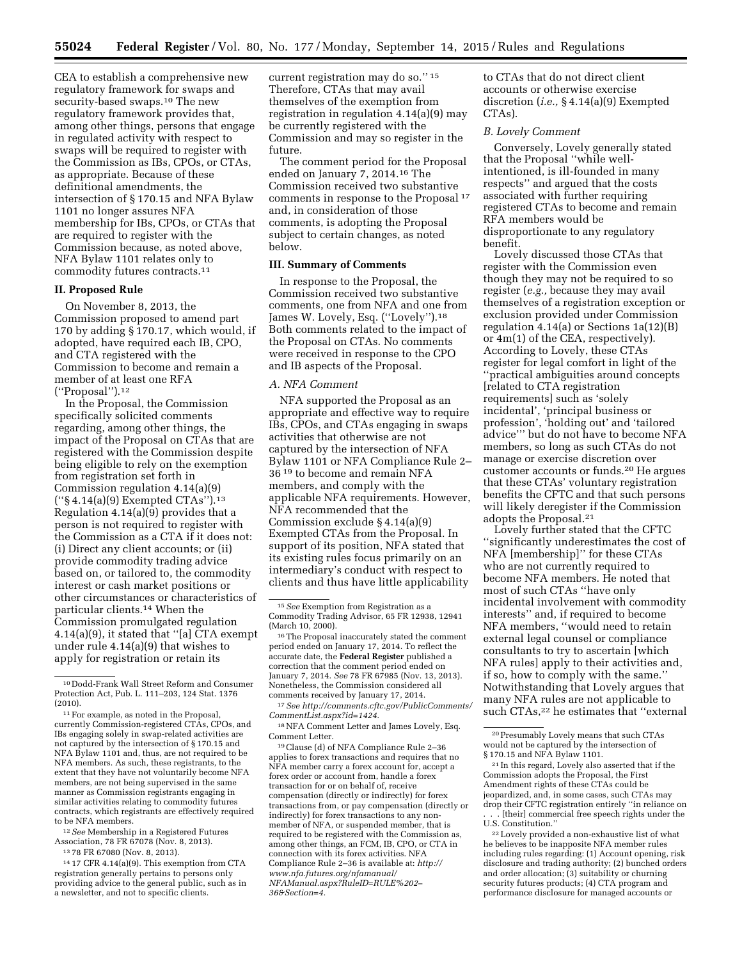CEA to establish a comprehensive new regulatory framework for swaps and security-based swaps.<sup>10</sup> The new regulatory framework provides that, among other things, persons that engage in regulated activity with respect to swaps will be required to register with the Commission as IBs, CPOs, or CTAs, as appropriate. Because of these definitional amendments, the intersection of § 170.15 and NFA Bylaw 1101 no longer assures NFA membership for IBs, CPOs, or CTAs that are required to register with the Commission because, as noted above, NFA Bylaw 1101 relates only to commodity futures contracts.11

#### **II. Proposed Rule**

On November 8, 2013, the Commission proposed to amend part 170 by adding § 170.17, which would, if adopted, have required each IB, CPO, and CTA registered with the Commission to become and remain a member of at least one RFA (''Proposal'').12

In the Proposal, the Commission specifically solicited comments regarding, among other things, the impact of the Proposal on CTAs that are registered with the Commission despite being eligible to rely on the exemption from registration set forth in Commission regulation 4.14(a)(9) (''§ 4.14(a)(9) Exempted CTAs'').13 Regulation 4.14(a)(9) provides that a person is not required to register with the Commission as a CTA if it does not: (i) Direct any client accounts; or (ii) provide commodity trading advice based on, or tailored to, the commodity interest or cash market positions or other circumstances or characteristics of particular clients.14 When the Commission promulgated regulation 4.14(a)(9), it stated that ''[a] CTA exempt under rule 4.14(a)(9) that wishes to apply for registration or retain its

11For example, as noted in the Proposal, currently Commission-registered CTAs, CPOs, and IBs engaging solely in swap-related activities are not captured by the intersection of § 170.15 and NFA Bylaw 1101 and, thus, are not required to be NFA members. As such, these registrants, to the extent that they have not voluntarily become NFA members, are not being supervised in the same manner as Commission registrants engaging in similar activities relating to commodity futures contracts, which registrants are effectively required to be NFA members.

12*See* Membership in a Registered Futures Association, 78 FR 67078 (Nov. 8, 2013). 13 78 FR 67080 (Nov. 8, 2013).

14 17 CFR 4.14(a)(9). This exemption from CTA registration generally pertains to persons only providing advice to the general public, such as in a newsletter, and not to specific clients.

current registration may do so.'' 15 Therefore, CTAs that may avail themselves of the exemption from registration in regulation 4.14(a)(9) may be currently registered with the Commission and may so register in the future.

The comment period for the Proposal ended on January 7, 2014.16 The Commission received two substantive comments in response to the Proposal 17 and, in consideration of those comments, is adopting the Proposal subject to certain changes, as noted below.

# **III. Summary of Comments**

In response to the Proposal, the Commission received two substantive comments, one from NFA and one from James W. Lovely, Esq. ("Lovely").<sup>18</sup> Both comments related to the impact of the Proposal on CTAs. No comments were received in response to the CPO and IB aspects of the Proposal.

## *A. NFA Comment*

NFA supported the Proposal as an appropriate and effective way to require IBs, CPOs, and CTAs engaging in swaps activities that otherwise are not captured by the intersection of NFA Bylaw 1101 or NFA Compliance Rule 2– 36 19 to become and remain NFA members, and comply with the applicable NFA requirements. However, NFA recommended that the Commission exclude § 4.14(a)(9) Exempted CTAs from the Proposal. In support of its position, NFA stated that its existing rules focus primarily on an intermediary's conduct with respect to clients and thus have little applicability

19Clause (d) of NFA Compliance Rule 2–36 applies to forex transactions and requires that no NFA member carry a forex account for, accept a forex order or account from, handle a forex transaction for or on behalf of, receive compensation (directly or indirectly) for forex transactions from, or pay compensation (directly or indirectly) for forex transactions to any nonmember of NFA, or suspended member, that is required to be registered with the Commission as, among other things, an FCM, IB, CPO, or CTA in connection with its forex activities. NFA Compliance Rule 2–36 is available at: *[http://](http://www.nfa.futures.org/nfamanual/NFAManual.aspx?RuleID=RULE%202-36&Section=4) [www.nfa.futures.org/nfamanual/](http://www.nfa.futures.org/nfamanual/NFAManual.aspx?RuleID=RULE%202-36&Section=4) [NFAManual.aspx?RuleID=RULE%202–](http://www.nfa.futures.org/nfamanual/NFAManual.aspx?RuleID=RULE%202-36&Section=4)  [36&Section=4.](http://www.nfa.futures.org/nfamanual/NFAManual.aspx?RuleID=RULE%202-36&Section=4)* 

to CTAs that do not direct client accounts or otherwise exercise discretion (*i.e.,* § 4.14(a)(9) Exempted CTAs).

## *B. Lovely Comment*

Conversely, Lovely generally stated that the Proposal ''while wellintentioned, is ill-founded in many respects'' and argued that the costs associated with further requiring registered CTAs to become and remain RFA members would be disproportionate to any regulatory benefit.

Lovely discussed those CTAs that register with the Commission even though they may not be required to so register (*e.g.,* because they may avail themselves of a registration exception or exclusion provided under Commission regulation 4.14(a) or Sections 1a(12)(B) or 4m(1) of the CEA, respectively). According to Lovely, these CTAs register for legal comfort in light of the ''practical ambiguities around concepts [related to CTA registration requirements] such as 'solely incidental', 'principal business or profession', 'holding out' and 'tailored advice''' but do not have to become NFA members, so long as such CTAs do not manage or exercise discretion over customer accounts or funds.20 He argues that these CTAs' voluntary registration benefits the CFTC and that such persons will likely deregister if the Commission adopts the Proposal.21

Lovely further stated that the CFTC ''significantly underestimates the cost of NFA [membership]'' for these CTAs who are not currently required to become NFA members. He noted that most of such CTAs ''have only incidental involvement with commodity interests'' and, if required to become NFA members, ''would need to retain external legal counsel or compliance consultants to try to ascertain [which NFA rules] apply to their activities and, if so, how to comply with the same.'' Notwithstanding that Lovely argues that many NFA rules are not applicable to such CTAs,22 he estimates that ''external

<sup>10</sup> Dodd-Frank Wall Street Reform and Consumer Protection Act, Pub. L. 111–203, 124 Stat. 1376 (2010).

<sup>15</sup>*See* Exemption from Registration as a Commodity Trading Advisor, 65 FR 12938, 12941 (March 10, 2000).

<sup>16</sup>The Proposal inaccurately stated the comment period ended on January 17, 2014. To reflect the accurate date, the **Federal Register** published a correction that the comment period ended on January 7, 2014. *See* 78 FR 67985 (Nov. 13, 2013). Nonetheless, the Commission considered all comments received by January 17, 2014.

<sup>17</sup>*See [http://comments.cftc.gov/PublicComments/](http://comments.cftc.gov/PublicComments/CommentList.aspx?id=1424)  [CommentList.aspx?id=1424.](http://comments.cftc.gov/PublicComments/CommentList.aspx?id=1424)* 

<sup>18</sup>NFA Comment Letter and James Lovely, Esq. Comment Letter.

<sup>20</sup>Presumably Lovely means that such CTAs would not be captured by the intersection of § 170.15 and NFA Bylaw 1101.

<sup>21</sup> In this regard, Lovely also asserted that if the Commission adopts the Proposal, the First Amendment rights of these CTAs could be jeopardized, and, in some cases, such CTAs may drop their CFTC registration entirely ''in reliance on . . . [their] commercial free speech rights under the U.S. Constitution.''

<sup>22</sup>Lovely provided a non-exhaustive list of what he believes to be inapposite NFA member rules including rules regarding: (1) Account opening, risk disclosure and trading authority; (2) bunched orders and order allocation; (3) suitability or churning security futures products; (4) CTA program and performance disclosure for managed accounts or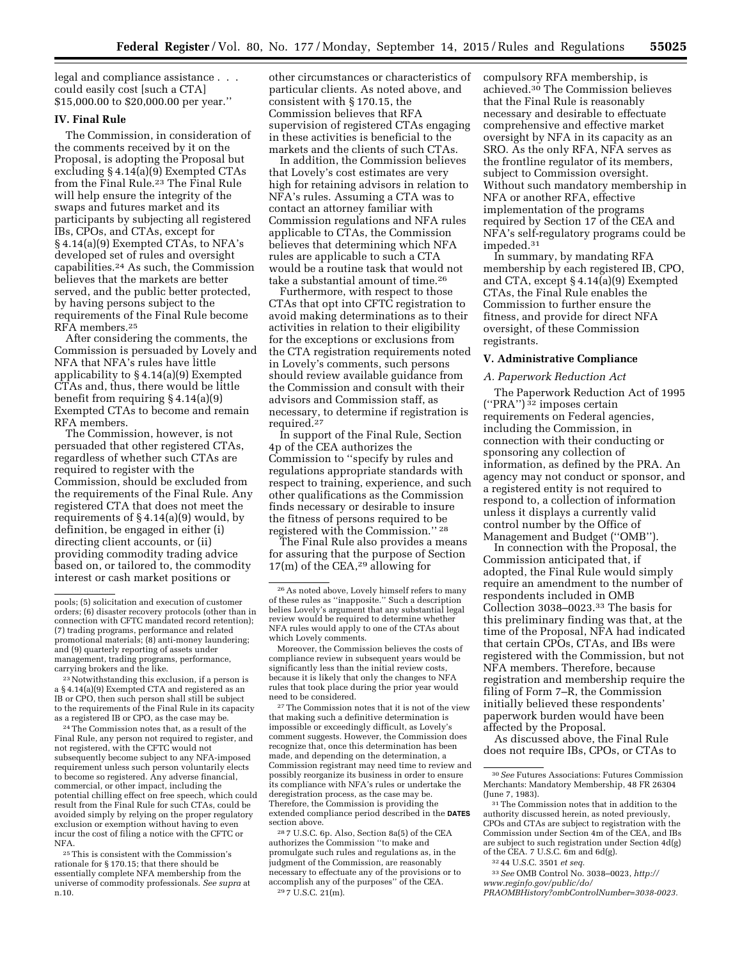legal and compliance assistance . . . could easily cost [such a CTA] \$15,000.00 to \$20,000.00 per year.''

# **IV. Final Rule**

The Commission, in consideration of the comments received by it on the Proposal, is adopting the Proposal but excluding § 4.14(a)(9) Exempted CTAs from the Final Rule.23 The Final Rule will help ensure the integrity of the swaps and futures market and its participants by subjecting all registered IBs, CPOs, and CTAs, except for § 4.14(a)(9) Exempted CTAs, to NFA's developed set of rules and oversight capabilities.24 As such, the Commission believes that the markets are better served, and the public better protected, by having persons subject to the requirements of the Final Rule become RFA members.25

After considering the comments, the Commission is persuaded by Lovely and NFA that NFA's rules have little applicability to § 4.14(a)(9) Exempted CTAs and, thus, there would be little benefit from requiring § 4.14(a)(9) Exempted CTAs to become and remain RFA members.

The Commission, however, is not persuaded that other registered CTAs, regardless of whether such CTAs are required to register with the Commission, should be excluded from the requirements of the Final Rule. Any registered CTA that does not meet the requirements of § 4.14(a)(9) would, by definition, be engaged in either (i) directing client accounts, or (ii) providing commodity trading advice based on, or tailored to, the commodity interest or cash market positions or

 $^{\rm 23}$  Notwithstanding this exclusion, if a person is a § 4.14(a)(9) Exempted CTA and registered as an IB or CPO, then such person shall still be subject to the requirements of the Final Rule in its capacity as a registered IB or CPO, as the case may be.

24The Commission notes that, as a result of the Final Rule, any person not required to register, and not registered, with the CFTC would not subsequently become subject to any NFA-imposed requirement unless such person voluntarily elects to become so registered. Any adverse financial, commercial, or other impact, including the potential chilling effect on free speech, which could result from the Final Rule for such CTAs, could be avoided simply by relying on the proper regulatory exclusion or exemption without having to even incur the cost of filing a notice with the CFTC or NFA.

25This is consistent with the Commission's rationale for § 170.15; that there should be essentially complete NFA membership from the universe of commodity professionals. *See supra* at n.10.

other circumstances or characteristics of particular clients. As noted above, and consistent with § 170.15, the Commission believes that RFA supervision of registered CTAs engaging in these activities is beneficial to the markets and the clients of such CTAs.

In addition, the Commission believes that Lovely's cost estimates are very high for retaining advisors in relation to NFA's rules. Assuming a CTA was to contact an attorney familiar with Commission regulations and NFA rules applicable to CTAs, the Commission believes that determining which NFA rules are applicable to such a CTA would be a routine task that would not take a substantial amount of time.26

Furthermore, with respect to those CTAs that opt into CFTC registration to avoid making determinations as to their activities in relation to their eligibility for the exceptions or exclusions from the CTA registration requirements noted in Lovely's comments, such persons should review available guidance from the Commission and consult with their advisors and Commission staff, as necessary, to determine if registration is required.27

In support of the Final Rule, Section 4p of the CEA authorizes the Commission to ''specify by rules and regulations appropriate standards with respect to training, experience, and such other qualifications as the Commission finds necessary or desirable to insure the fitness of persons required to be registered with the Commission.'' 28

The Final Rule also provides a means for assuring that the purpose of Section 17(m) of the CEA,29 allowing for

27The Commission notes that it is not of the view that making such a definitive determination is impossible or exceedingly difficult, as Lovely's comment suggests. However, the Commission does recognize that, once this determination has been made, and depending on the determination, a Commission registrant may need time to review and possibly reorganize its business in order to ensure its compliance with NFA's rules or undertake the deregistration process, as the case may be. Therefore, the Commission is providing the extended compliance period described in the **DATES** section above.

28 7 U.S.C. 6p. Also, Section 8a(5) of the CEA authorizes the Commission ''to make and promulgate such rules and regulations as, in the judgment of the Commission, are reasonably necessary to effectuate any of the provisions or to accomplish any of the purposes'' of the CEA. 29 7 U.S.C. 21(m).

compulsory RFA membership, is achieved.30 The Commission believes that the Final Rule is reasonably necessary and desirable to effectuate comprehensive and effective market oversight by NFA in its capacity as an SRO. As the only RFA, NFA serves as the frontline regulator of its members, subject to Commission oversight. Without such mandatory membership in NFA or another RFA, effective implementation of the programs required by Section 17 of the CEA and NFA's self-regulatory programs could be impeded.31

In summary, by mandating RFA membership by each registered IB, CPO, and CTA, except § 4.14(a)(9) Exempted CTAs, the Final Rule enables the Commission to further ensure the fitness, and provide for direct NFA oversight, of these Commission registrants.

### **V. Administrative Compliance**

## *A. Paperwork Reduction Act*

The Paperwork Reduction Act of 1995 (''PRA'') 32 imposes certain requirements on Federal agencies, including the Commission, in connection with their conducting or sponsoring any collection of information, as defined by the PRA. An agency may not conduct or sponsor, and a registered entity is not required to respond to, a collection of information unless it displays a currently valid control number by the Office of Management and Budget (''OMB'').

In connection with the Proposal, the Commission anticipated that, if adopted, the Final Rule would simply require an amendment to the number of respondents included in OMB Collection 3038–0023.33 The basis for this preliminary finding was that, at the time of the Proposal, NFA had indicated that certain CPOs, CTAs, and IBs were registered with the Commission, but not NFA members. Therefore, because registration and membership require the filing of Form 7–R, the Commission initially believed these respondents' paperwork burden would have been affected by the Proposal.

As discussed above, the Final Rule does not require IBs, CPOs, or CTAs to

33*See* OMB Control No. 3038–0023, *[http://](http://www.reginfo.gov/public/do/PRAOMBHistory?ombControlNumber=3038-0023) [www.reginfo.gov/public/do/](http://www.reginfo.gov/public/do/PRAOMBHistory?ombControlNumber=3038-0023)*

*[PRAOMBHistory?ombControlNumber=3038-0023.](http://www.reginfo.gov/public/do/PRAOMBHistory?ombControlNumber=3038-0023)* 

pools; (5) solicitation and execution of customer orders; (6) disaster recovery protocols (other than in connection with CFTC mandated record retention); (7) trading programs, performance and related promotional materials; (8) anti-money laundering; and (9) quarterly reporting of assets under management, trading programs, performance, carrying brokers and the like.

<sup>26</sup>As noted above, Lovely himself refers to many of these rules as ''inapposite.'' Such a description belies Lovely's argument that any substantial legal review would be required to determine whether NFA rules would apply to one of the CTAs about which Lovely comments.

Moreover, the Commission believes the costs of compliance review in subsequent years would be significantly less than the initial review costs, because it is likely that only the changes to NFA rules that took place during the prior year would need to be considered.

<sup>30</sup>*See* Futures Associations: Futures Commission Merchants: Mandatory Membership, 48 FR 26304

 $31$  The Commission notes that in addition to the authority discussed herein, as noted previously, CPOs and CTAs are subject to registration with the Commission under Section 4m of the CEA, and IBs are subject to such registration under Section 4d(g) of the CEA. 7 U.S.C. 6m and 6d(g).

<sup>32</sup> 44 U.S.C. 3501 *et seq.*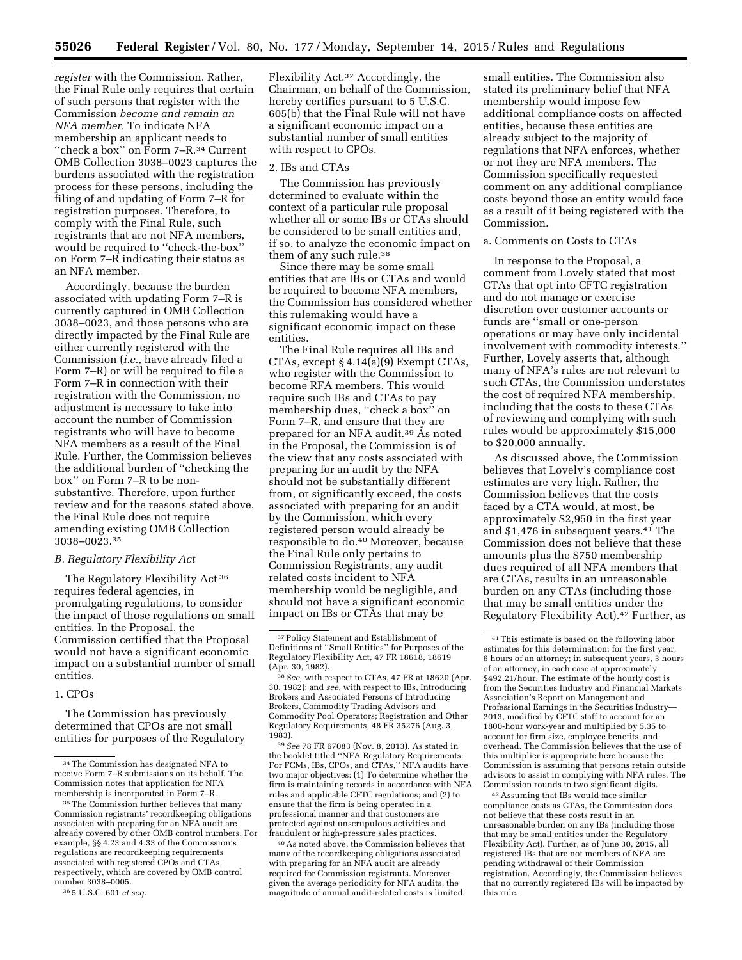*register* with the Commission. Rather, the Final Rule only requires that certain of such persons that register with the Commission *become and remain an NFA member.* To indicate NFA membership an applicant needs to ''check a box'' on Form 7–R.34 Current OMB Collection 3038–0023 captures the burdens associated with the registration process for these persons, including the filing of and updating of Form 7–R for registration purposes. Therefore, to comply with the Final Rule, such registrants that are not NFA members, would be required to ''check-the-box'' on Form 7–R indicating their status as an NFA member.

Accordingly, because the burden associated with updating Form 7–R is currently captured in OMB Collection 3038–0023, and those persons who are directly impacted by the Final Rule are either currently registered with the Commission (*i.e.,* have already filed a Form 7–R) or will be required to file a Form 7–R in connection with their registration with the Commission, no adjustment is necessary to take into account the number of Commission registrants who will have to become NFA members as a result of the Final Rule. Further, the Commission believes the additional burden of ''checking the box'' on Form 7–R to be nonsubstantive. Therefore, upon further review and for the reasons stated above, the Final Rule does not require amending existing OMB Collection 3038–0023.35

## *B. Regulatory Flexibility Act*

The Regulatory Flexibility Act 36 requires federal agencies, in promulgating regulations, to consider the impact of those regulations on small entities. In the Proposal, the Commission certified that the Proposal would not have a significant economic impact on a substantial number of small entities.

#### 1. CPOs

The Commission has previously determined that CPOs are not small entities for purposes of the Regulatory

36 5 U.S.C. 601 *et seq.* 

Flexibility Act.37 Accordingly, the Chairman, on behalf of the Commission, hereby certifies pursuant to 5 U.S.C. 605(b) that the Final Rule will not have a significant economic impact on a substantial number of small entities with respect to CPOs.

## 2. IBs and CTAs

The Commission has previously determined to evaluate within the context of a particular rule proposal whether all or some IBs or CTAs should be considered to be small entities and, if so, to analyze the economic impact on them of any such rule.38

Since there may be some small entities that are IBs or CTAs and would be required to become NFA members, the Commission has considered whether this rulemaking would have a significant economic impact on these entities.

The Final Rule requires all IBs and CTAs, except § 4.14(a)(9) Exempt CTAs, who register with the Commission to become RFA members. This would require such IBs and CTAs to pay membership dues, ''check a box'' on Form 7–R, and ensure that they are prepared for an NFA audit.39 As noted in the Proposal, the Commission is of the view that any costs associated with preparing for an audit by the NFA should not be substantially different from, or significantly exceed, the costs associated with preparing for an audit by the Commission, which every registered person would already be responsible to do.40 Moreover, because the Final Rule only pertains to Commission Registrants, any audit related costs incident to NFA membership would be negligible, and should not have a significant economic impact on IBs or CTAs that may be

39*See* 78 FR 67083 (Nov. 8, 2013). As stated in the booklet titled ''NFA Regulatory Requirements: For FCMs, IBs, CPOs, and CTAs,'' NFA audits have two major objectives: (1) To determine whether the firm is maintaining records in accordance with NFA rules and applicable CFTC regulations; and (2) to ensure that the firm is being operated in a professional manner and that customers are protected against unscrupulous activities and fraudulent or high-pressure sales practices.

40As noted above, the Commission believes that many of the recordkeeping obligations associated with preparing for an NFA audit are already required for Commission registrants. Moreover, given the average periodicity for NFA audits, the magnitude of annual audit-related costs is limited.

small entities. The Commission also stated its preliminary belief that NFA membership would impose few additional compliance costs on affected entities, because these entities are already subject to the majority of regulations that NFA enforces, whether or not they are NFA members. The Commission specifically requested comment on any additional compliance costs beyond those an entity would face as a result of it being registered with the Commission.

# a. Comments on Costs to CTAs

In response to the Proposal, a comment from Lovely stated that most CTAs that opt into CFTC registration and do not manage or exercise discretion over customer accounts or funds are ''small or one-person operations or may have only incidental involvement with commodity interests.'' Further, Lovely asserts that, although many of NFA's rules are not relevant to such CTAs, the Commission understates the cost of required NFA membership, including that the costs to these CTAs of reviewing and complying with such rules would be approximately \$15,000 to \$20,000 annually.

As discussed above, the Commission believes that Lovely's compliance cost estimates are very high. Rather, the Commission believes that the costs faced by a CTA would, at most, be approximately \$2,950 in the first year and \$1,476 in subsequent years.41 The Commission does not believe that these amounts plus the \$750 membership dues required of all NFA members that are CTAs, results in an unreasonable burden on any CTAs (including those that may be small entities under the Regulatory Flexibility Act).42 Further, as

42Assuming that IBs would face similar compliance costs as CTAs, the Commission does not believe that these costs result in an unreasonable burden on any IBs (including those that may be small entities under the Regulatory Flexibility Act). Further, as of June 30, 2015, all registered IBs that are not members of NFA are pending withdrawal of their Commission registration. Accordingly, the Commission believes that no currently registered IBs will be impacted by this rule.

<sup>34</sup>The Commission has designated NFA to receive Form 7–R submissions on its behalf. The Commission notes that application for NFA membership is incorporated in Form 7–R.

<sup>35</sup>The Commission further believes that many Commission registrants' recordkeeping obligations associated with preparing for an NFA audit are already covered by other OMB control numbers. For example, §§ 4.23 and 4.33 of the Commission's regulations are recordkeeping requirements associated with registered CPOs and CTAs, respectively, which are covered by OMB control number 3038–0005.

<sup>37</sup>Policy Statement and Establishment of Definitions of ''Small Entities'' for Purposes of the Regulatory Flexibility Act, 47 FR 18618, 18619 (Apr. 30, 1982).

<sup>38</sup>*See,* with respect to CTAs, 47 FR at 18620 (Apr. 30, 1982); and *see,* with respect to IBs, Introducing Brokers and Associated Persons of Introducing Brokers, Commodity Trading Advisors and Commodity Pool Operators; Registration and Other Regulatory Requirements, 48 FR 35276 (Aug. 3, 1983).

<sup>41</sup>This estimate is based on the following labor estimates for this determination: for the first year, 6 hours of an attorney; in subsequent years, 3 hours of an attorney, in each case at approximately \$492.21/hour. The estimate of the hourly cost is from the Securities Industry and Financial Markets Association's Report on Management and Professional Earnings in the Securities Industry— 2013, modified by CFTC staff to account for an 1800-hour work-year and multiplied by 5.35 to account for firm size, employee benefits, and overhead. The Commission believes that the use of this multiplier is appropriate here because the Commission is assuming that persons retain outside advisors to assist in complying with NFA rules. The Commission rounds to two significant digits.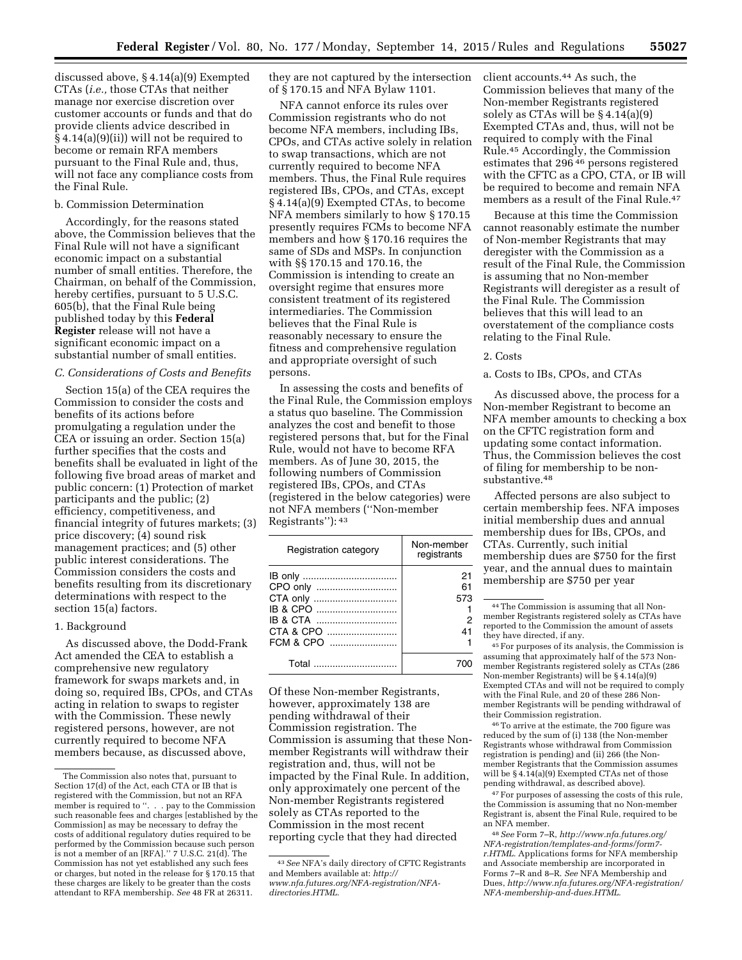discussed above, § 4.14(a)(9) Exempted CTAs (*i.e.,* those CTAs that neither manage nor exercise discretion over customer accounts or funds and that do provide clients advice described in § 4.14(a)(9)(ii)) will not be required to become or remain RFA members pursuant to the Final Rule and, thus, will not face any compliance costs from the Final Rule.

### b. Commission Determination

Accordingly, for the reasons stated above, the Commission believes that the Final Rule will not have a significant economic impact on a substantial number of small entities. Therefore, the Chairman, on behalf of the Commission, hereby certifies, pursuant to 5 U.S.C. 605(b), that the Final Rule being published today by this **Federal Register** release will not have a significant economic impact on a substantial number of small entities.

### *C. Considerations of Costs and Benefits*

Section 15(a) of the CEA requires the Commission to consider the costs and benefits of its actions before promulgating a regulation under the CEA or issuing an order. Section 15(a) further specifies that the costs and benefits shall be evaluated in light of the following five broad areas of market and public concern: (1) Protection of market participants and the public; (2) efficiency, competitiveness, and financial integrity of futures markets; (3) price discovery; (4) sound risk management practices; and (5) other public interest considerations. The Commission considers the costs and benefits resulting from its discretionary determinations with respect to the section 15(a) factors.

# 1. Background

As discussed above, the Dodd-Frank Act amended the CEA to establish a comprehensive new regulatory framework for swaps markets and, in doing so, required IBs, CPOs, and CTAs acting in relation to swaps to register with the Commission. These newly registered persons, however, are not currently required to become NFA members because, as discussed above,

they are not captured by the intersection of § 170.15 and NFA Bylaw 1101.

NFA cannot enforce its rules over Commission registrants who do not become NFA members, including IBs, CPOs, and CTAs active solely in relation to swap transactions, which are not currently required to become NFA members. Thus, the Final Rule requires registered IBs, CPOs, and CTAs, except § 4.14(a)(9) Exempted CTAs, to become NFA members similarly to how § 170.15 presently requires FCMs to become NFA members and how § 170.16 requires the same of SDs and MSPs. In conjunction with §§ 170.15 and 170.16, the Commission is intending to create an oversight regime that ensures more consistent treatment of its registered intermediaries. The Commission believes that the Final Rule is reasonably necessary to ensure the fitness and comprehensive regulation and appropriate oversight of such persons.

In assessing the costs and benefits of the Final Rule, the Commission employs a status quo baseline. The Commission analyzes the cost and benefit to those registered persons that, but for the Final Rule, would not have to become RFA members. As of June 30, 2015, the following numbers of Commission registered IBs, CPOs, and CTAs (registered in the below categories) were not NFA members (''Non-member Registrants''): 43

| Registration category                                                  | Non-member<br>registrants  |
|------------------------------------------------------------------------|----------------------------|
| CPO only<br>CTA only<br>IB & CPO<br>IB & CTA<br>CTA & CPO<br>FCM & CPO | 21<br>61<br>573<br>2<br>41 |
| Total                                                                  |                            |

Of these Non-member Registrants, however, approximately 138 are pending withdrawal of their Commission registration. The Commission is assuming that these Nonmember Registrants will withdraw their registration and, thus, will not be impacted by the Final Rule. In addition, only approximately one percent of the Non-member Registrants registered solely as CTAs reported to the Commission in the most recent reporting cycle that they had directed

client accounts.44 As such, the Commission believes that many of the Non-member Registrants registered solely as CTAs will be § 4.14(a)(9) Exempted CTAs and, thus, will not be required to comply with the Final Rule.45 Accordingly, the Commission estimates that 296 46 persons registered with the CFTC as a CPO, CTA, or IB will be required to become and remain NFA members as a result of the Final Rule.47

Because at this time the Commission cannot reasonably estimate the number of Non-member Registrants that may deregister with the Commission as a result of the Final Rule, the Commission is assuming that no Non-member Registrants will deregister as a result of the Final Rule. The Commission believes that this will lead to an overstatement of the compliance costs relating to the Final Rule.

#### 2. Costs

## a. Costs to IBs, CPOs, and CTAs

As discussed above, the process for a Non-member Registrant to become an NFA member amounts to checking a box on the CFTC registration form and updating some contact information. Thus, the Commission believes the cost of filing for membership to be nonsubstantive.<sup>48</sup>

Affected persons are also subject to certain membership fees. NFA imposes initial membership dues and annual membership dues for IBs, CPOs, and CTAs. Currently, such initial membership dues are \$750 for the first year, and the annual dues to maintain membership are \$750 per year

45For purposes of its analysis, the Commission is assuming that approximately half of the 573 Nonmember Registrants registered solely as CTAs (286 Non-member Registrants) will be § 4.14(a)(9) Exempted CTAs and will not be required to comply with the Final Rule, and 20 of these 286 Nonmember Registrants will be pending withdrawal of their Commission registration.

46To arrive at the estimate, the 700 figure was reduced by the sum of (i) 138 (the Non-member Registrants whose withdrawal from Commission registration is pending) and (ii) 266 (the Nonmember Registrants that the Commission assumes will be § 4.14(a)(9) Exempted CTAs net of those pending withdrawal, as described above).

47For purposes of assessing the costs of this rule, the Commission is assuming that no Non-member Registrant is, absent the Final Rule, required to be an NFA member.

48*See* Form 7–R, *[http://www.nfa.futures.org/](http://www.nfa.futures.org/NFA-registration/templates-and-forms/form7-r.HTML) [NFA-registration/templates-and-forms/form7](http://www.nfa.futures.org/NFA-registration/templates-and-forms/form7-r.HTML)  [r.HTML.](http://www.nfa.futures.org/NFA-registration/templates-and-forms/form7-r.HTML)* Applications forms for NFA membership and Associate membership are incorporated in Forms 7–R and 8–R. *See* NFA Membership and Dues, *[http://www.nfa.futures.org/NFA-registration/](http://www.nfa.futures.org/NFA-registration/NFA-membership-and-dues.HTML) [NFA-membership-and-dues.HTML.](http://www.nfa.futures.org/NFA-registration/NFA-membership-and-dues.HTML)* 

The Commission also notes that, pursuant to Section 17(d) of the Act, each CTA or IB that is registered with the Commission, but not an RFA member is required to ''. . . pay to the Commission such reasonable fees and charges [established by the Commission] as may be necessary to defray the costs of additional regulatory duties required to be performed by the Commission because such person is not a member of an [RFA].'' 7 U.S.C. 21(d). The Commission has not yet established any such fees or charges, but noted in the release for § 170.15 that these charges are likely to be greater than the costs attendant to RFA membership. *See* 48 FR at 26311.

<sup>43</sup>*See* NFA's daily directory of CFTC Registrants and Members available at: *[http://](http://www.nfa.futures.org/NFA-registration/NFA-directories.HTML) [www.nfa.futures.org/NFA-registration/NFA](http://www.nfa.futures.org/NFA-registration/NFA-directories.HTML)[directories.HTML.](http://www.nfa.futures.org/NFA-registration/NFA-directories.HTML)* 

<sup>44</sup>The Commission is assuming that all Nonmember Registrants registered solely as CTAs have reported to the Commission the amount of assets they have directed, if any.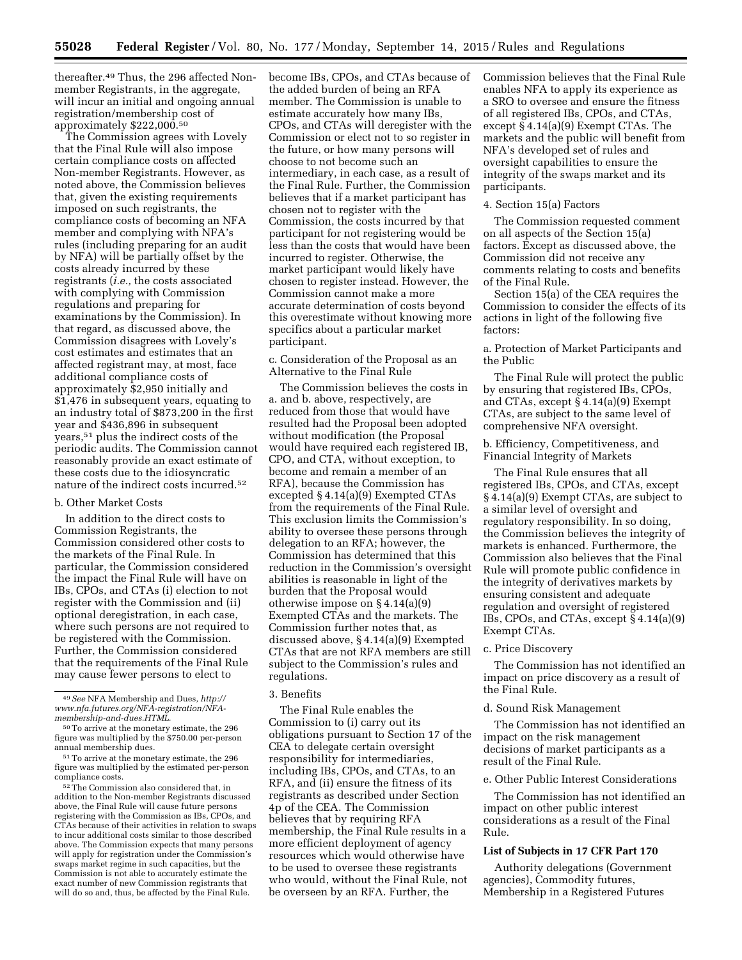thereafter.49 Thus, the 296 affected Nonmember Registrants, in the aggregate, will incur an initial and ongoing annual registration/membership cost of approximately \$222,000.50

The Commission agrees with Lovely that the Final Rule will also impose certain compliance costs on affected Non-member Registrants. However, as noted above, the Commission believes that, given the existing requirements imposed on such registrants, the compliance costs of becoming an NFA member and complying with NFA's rules (including preparing for an audit by NFA) will be partially offset by the costs already incurred by these registrants (*i.e.,* the costs associated with complying with Commission regulations and preparing for examinations by the Commission). In that regard, as discussed above, the Commission disagrees with Lovely's cost estimates and estimates that an affected registrant may, at most, face additional compliance costs of approximately \$2,950 initially and \$1,476 in subsequent years, equating to an industry total of \$873,200 in the first year and \$436,896 in subsequent years,51 plus the indirect costs of the periodic audits. The Commission cannot reasonably provide an exact estimate of these costs due to the idiosyncratic nature of the indirect costs incurred.52

#### b. Other Market Costs

In addition to the direct costs to Commission Registrants, the Commission considered other costs to the markets of the Final Rule. In particular, the Commission considered the impact the Final Rule will have on IBs, CPOs, and CTAs (i) election to not register with the Commission and (ii) optional deregistration, in each case, where such persons are not required to be registered with the Commission. Further, the Commission considered that the requirements of the Final Rule may cause fewer persons to elect to

52 The Commission also considered that, in addition to the Non-member Registrants discussed above, the Final Rule will cause future persons registering with the Commission as IBs, CPOs, and CTAs because of their activities in relation to swaps to incur additional costs similar to those described above. The Commission expects that many persons will apply for registration under the Commission's swaps market regime in such capacities, but the Commission is not able to accurately estimate the exact number of new Commission registrants that will do so and, thus, be affected by the Final Rule.

become IBs, CPOs, and CTAs because of the added burden of being an RFA member. The Commission is unable to estimate accurately how many IBs, CPOs, and CTAs will deregister with the Commission or elect not to so register in the future, or how many persons will choose to not become such an intermediary, in each case, as a result of the Final Rule. Further, the Commission believes that if a market participant has chosen not to register with the Commission, the costs incurred by that participant for not registering would be less than the costs that would have been incurred to register. Otherwise, the market participant would likely have chosen to register instead. However, the Commission cannot make a more accurate determination of costs beyond this overestimate without knowing more specifics about a particular market participant.

c. Consideration of the Proposal as an Alternative to the Final Rule

The Commission believes the costs in a. and b. above, respectively, are reduced from those that would have resulted had the Proposal been adopted without modification (the Proposal would have required each registered IB, CPO, and CTA, without exception, to become and remain a member of an RFA), because the Commission has excepted § 4.14(a)(9) Exempted CTAs from the requirements of the Final Rule. This exclusion limits the Commission's ability to oversee these persons through delegation to an RFA; however, the Commission has determined that this reduction in the Commission's oversight abilities is reasonable in light of the burden that the Proposal would otherwise impose on § 4.14(a)(9) Exempted CTAs and the markets. The Commission further notes that, as discussed above, § 4.14(a)(9) Exempted CTAs that are not RFA members are still subject to the Commission's rules and regulations.

3. Benefits

The Final Rule enables the Commission to (i) carry out its obligations pursuant to Section 17 of the CEA to delegate certain oversight responsibility for intermediaries, including IBs, CPOs, and CTAs, to an RFA, and (ii) ensure the fitness of its registrants as described under Section 4p of the CEA. The Commission believes that by requiring RFA membership, the Final Rule results in a more efficient deployment of agency resources which would otherwise have to be used to oversee these registrants who would, without the Final Rule, not be overseen by an RFA. Further, the

Commission believes that the Final Rule enables NFA to apply its experience as a SRO to oversee and ensure the fitness of all registered IBs, CPOs, and CTAs, except § 4.14(a)(9) Exempt CTAs. The markets and the public will benefit from NFA's developed set of rules and oversight capabilities to ensure the integrity of the swaps market and its participants.

## 4. Section 15(a) Factors

The Commission requested comment on all aspects of the Section 15(a) factors. Except as discussed above, the Commission did not receive any comments relating to costs and benefits of the Final Rule.

Section 15(a) of the CEA requires the Commission to consider the effects of its actions in light of the following five factors:

a. Protection of Market Participants and the Public

The Final Rule will protect the public by ensuring that registered IBs, CPOs, and CTAs, except § 4.14(a)(9) Exempt CTAs, are subject to the same level of comprehensive NFA oversight.

b. Efficiency, Competitiveness, and Financial Integrity of Markets

The Final Rule ensures that all registered IBs, CPOs, and CTAs, except § 4.14(a)(9) Exempt CTAs, are subject to a similar level of oversight and regulatory responsibility. In so doing, the Commission believes the integrity of markets is enhanced. Furthermore, the Commission also believes that the Final Rule will promote public confidence in the integrity of derivatives markets by ensuring consistent and adequate regulation and oversight of registered IBs, CPOs, and CTAs, except § 4.14(a)(9) Exempt CTAs.

#### c. Price Discovery

The Commission has not identified an impact on price discovery as a result of the Final Rule.

#### d. Sound Risk Management

The Commission has not identified an impact on the risk management decisions of market participants as a result of the Final Rule.

### e. Other Public Interest Considerations

The Commission has not identified an impact on other public interest considerations as a result of the Final Rule.

## **List of Subjects in 17 CFR Part 170**

Authority delegations (Government agencies), Commodity futures, Membership in a Registered Futures

<sup>49</sup>*See* NFA Membership and Dues, *[http://](http://www.nfa.futures.org/NFA-registration/NFA-membership-and-dues.HTML) [www.nfa.futures.org/NFA-registration/NFA](http://www.nfa.futures.org/NFA-registration/NFA-membership-and-dues.HTML)[membership-and-dues.HTML.](http://www.nfa.futures.org/NFA-registration/NFA-membership-and-dues.HTML)* 

<sup>50</sup>To arrive at the monetary estimate, the 296 figure was multiplied by the \$750.00 per-person

 $51$  To arrive at the monetary estimate, the 296 figure was multiplied by the estimated per-person